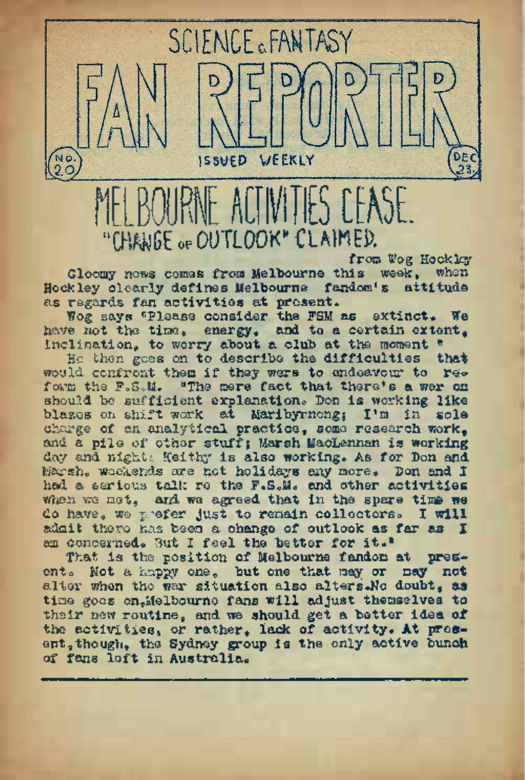

CHANGE OF OUTLOOK" CLAIMED.

from Wog Hockley<br>is weak, when Gloomy news comes from Melbourne this week, Hockley clearly defines Melbourne fandom's attitude as regards fan activities at present.

Wog says "Please consider the FSM as extinct. We have not the time, energy, and to a certain extent. inclination, to worry about a club at the moment "

He then gees on to describe the difficulties **that** would confront them if they were to endeavour to reform the F.S.M. "The mere fact that there's a wer on should be sufficient explanation. Don is working like blazes on shift work at Maribyrncng; I'<sup>m</sup> in sole charge of an analytical practice, some research work, and a pile of other stuff; Marsh MacLennan is working day and nights Keithy is also working. As for Don and Marsh, weekends are not holidays any more, Don and **I** had a serious talk re the F.S.M. and other activities when we met. and we agreed that in the spare time we do have, we prefer just to remain colloctors<sup>o</sup> I **will** admit there has been a change of outlook as far as **I** am concerned. But I feel the better for it."

That is the position of Melbourne fandom at **pres**onto Not a happy one, but one that may or **may not** alter when the war situation also <alters.No> doubt, **as** time goes on, Melbourne fans will adjust themselves to their new routine, and we should get a better idea **of** the activities, or rather, lack of activity. **At pres**ent, though, the Sydney group is the only active bunch of fans left in Australia.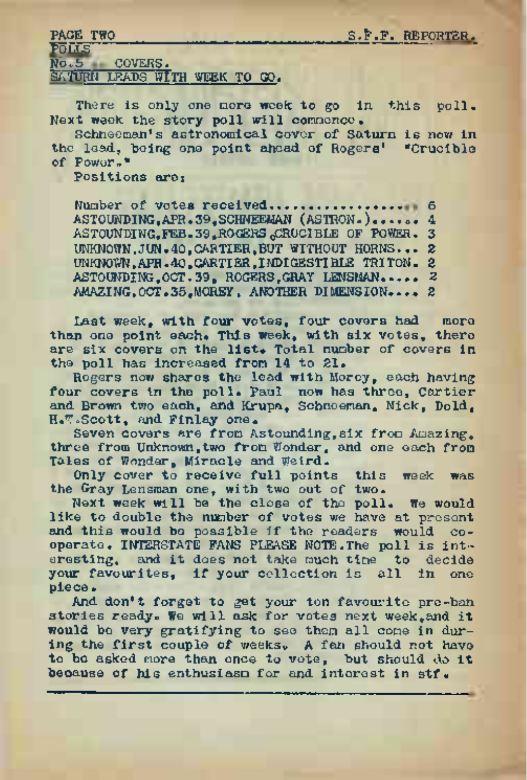PA® TITO\_\_\_\_\_\_\_\_\_\_\_\_\_\_\_\_\_\_\_\_\_\_\_\_\_\_\_\_\_\_\_\_ S.fr.F. REPORTER. Policy - Policy - Policy - Policy - Policy - Policy - Policy - Policy - Policy - Policy - Policy - Policy - Po <sup>N</sup>d.5 COVERS. SATURN LEADS WITH WEEK TO GO.

There is only one more week to go in this poll. Next week the story poll will commence.

Schneeman's astronomical cover of Saturn is now in the laad, being one point ahead of Rogers' "Crucible of  $Power^*$ 

Positions are:

Number of votes received....................... <sup>6</sup> ASTOUNDING,APR. 39, SCHNEEMAN (ASTRON.)..... . <sup>4</sup> ASTOUNDING, FEB. 39, ROGERS .CRUCIBLE OF POWER. 3 UNKNOWN,JUN.40,CARTIER,BUT WITHOUT HORNS... 2 UNKNOWN,APR.40,CARTIER,INDIGESTIBLE TRITON. 2 ASTOUNDING OCT.39, ROGERS GRAY LENSMAN..... 2 AMAZING,OCT.35,MOREY, ANOTHER DIMENSION.... 2

Last week, with four votes, four covers had more than one point each. This week, with six votes, there are six covers on the list. Total number of covers in the poll has increased from 14 to 21.

Rogers now shares the lead with Morey, each having four covers in the poll. Paul now has three, Cartier and Brown two each, and Krupa, Schneeman, Nick, DoId, H.W.Scott, and Finlay one.

Seven covers are from Astounding, six from Amazing, three from Unknown,two from Wonder, and one each from Tales of Wonder, Miracle and Weird.

Only cover to receive full points this week was the Gray Lensman one, with two out of two.

Next week will be the close of the poll. We would like to double the number of votes we have at present and this would be possible if the readers would cooperate. INTERSTATE FANS PLEASE NOTE.The poll is interesting, and it does not take much time to decide your favourites, if your collection is all in one piece.

And don't forget to get your ton favourite pre-ban stories ready. We will ask for votes next week,and it would be very gratifying to see them all come in during the first couple of weeks. A fan should not have to be asked more than once to vote, but should do it because of his enthusiasm for and interest in stf.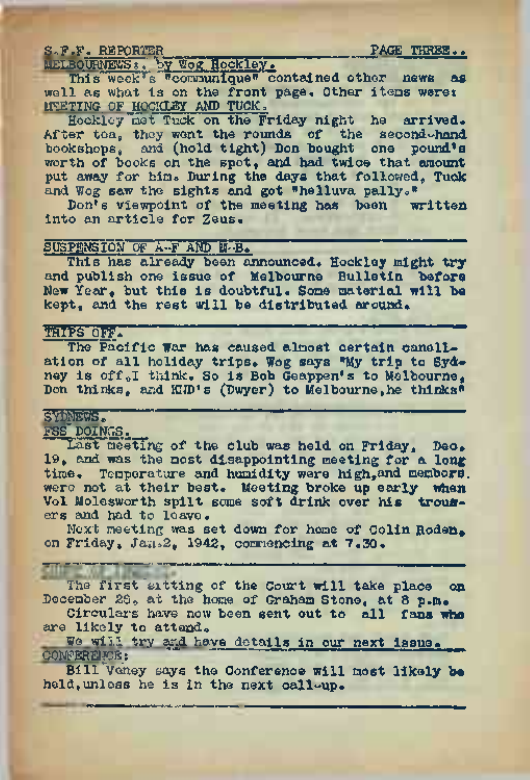SoF.?\_F. REPORTER \_\_ \_\_\_\_\_\_\_\_\_ \_PAGE THREE.. MELBO.URNEWS <sup>g</sup> <> "by Wog Hockley " This" week rs~"communique" contained, other news as well as what is on the front page. Other items were: MEETING OF HOCKLEY AND TUCK.

Hockley met Tuck on the Friday night he arrived. After tea, they went the rounds of the second-hand bookshops, and (hold tight) Don bought one pound's worth of books on the spot, and had twice that amount put away for him. During the days that followed, Tuck and Wog saw the sights and got "helluva pally."

Don's viewpoint of the meeting has been written into an article for Zeus,

## SUSPENSION OF A-F AND M-Bo

This has already been announced, Hockley might try and publish one issue of Melbourne Bulletin before New Year, but this is doubtful. Some material will be kept, and the rest will be distributed around.

## TRIPS OFF,

The Pacific War has caused almost certain canellation of all holiday trips. Wog says "My trip to Sydney is off,I think. So is Bob Geappen's to Melbourne, Don thinks, and KID's (Dwyer) to Melbourne, he thinks<sup>8</sup>

## SYDNEWS.

FSS~ DOINGS.

Last meeting of the club was held on Friday, Dec. 19, and was the most disappointing meeting for a long time. Temperature and humidity were high, and members, were not at their best. Meeting broke up early when Vol Molesworth spilt some soft drink over his **trous**ers and had to leave.

Next meeting was set down for home of Colin Roden, on Friday, Jan.2, 1942, commencing at 7.30.

The first 'sitting of the Court will take place **on** December 28, at the home of Graham Stone, at 8 p.m. Circulars have now been sent out to all fans **who** are likely to attend,

are likely to attand.<br>We will try and have details in our next issue.<br>CONGERFING Bill "Vehey says the Conference will most likely **be**

held, unless he is in the next call-up.